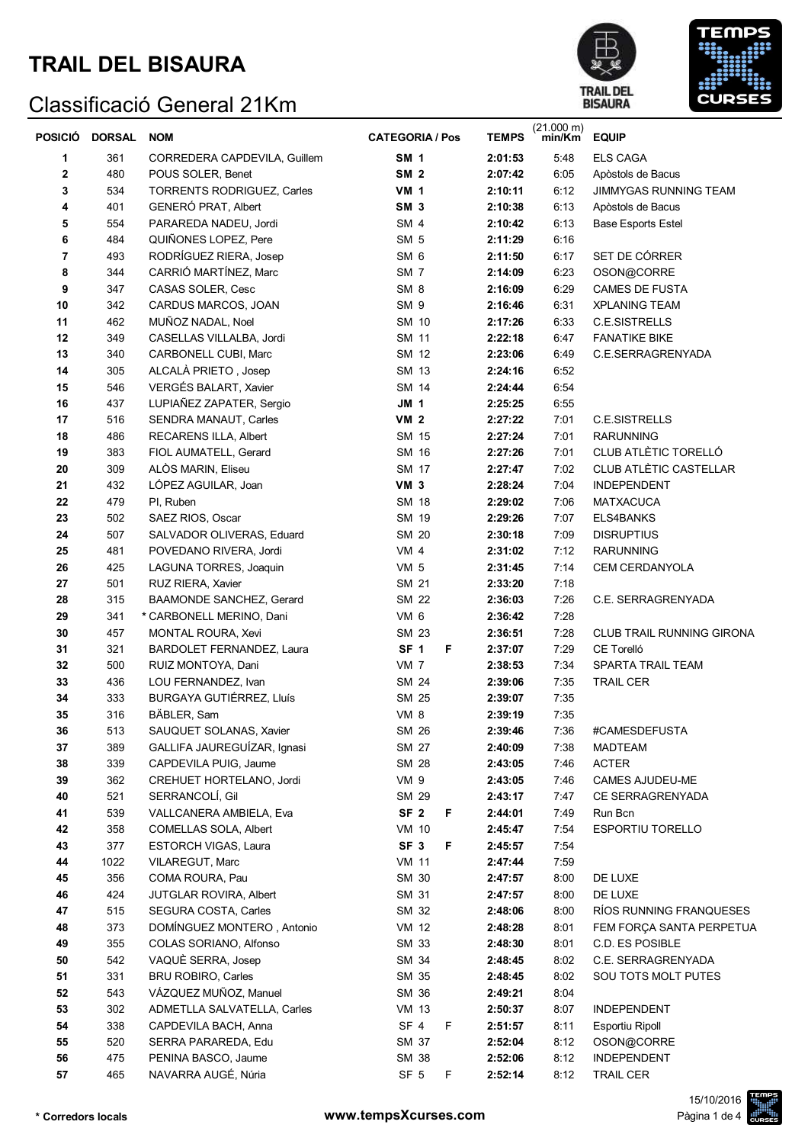# **TRAIL DEL BISAURA**





| <b>POSICIO</b> | DORSAL | <b>NOM</b>                        | <b>CATEGORIA / Pos</b> | <b>TEMPS</b> | $(21.000 \text{ m})$<br>min/Km | <b>EQUIP</b>                 |
|----------------|--------|-----------------------------------|------------------------|--------------|--------------------------------|------------------------------|
| 1              | 361    | CORREDERA CAPDEVILA, Guillem      | <b>SM 1</b>            | 2:01:53      | 5:48                           | <b>ELS CAGA</b>              |
| 2              | 480    | POUS SOLER, Benet                 | <b>SM 2</b>            | 2:07:42      | 6:05                           | Apòstols de Bacus            |
| 3              | 534    | <b>TORRENTS RODRIGUEZ, Carles</b> | <b>VM 1</b>            | 2:10:11      | 6:12                           | <b>JIMMYGAS RUNNING TEAM</b> |
| 4              | 401    | GENERÓ PRAT, Albert               | SM <sub>3</sub>        | 2:10:38      | 6:13                           | Apòstols de Bacus            |
| 5              | 554    | PARAREDA NADEU, Jordi             | SM <sub>4</sub>        | 2:10:42      | 6:13                           | <b>Base Esports Estel</b>    |
| 6              | 484    | QUIÑONES LOPEZ, Pere              | SM <sub>5</sub>        | 2:11:29      | 6:16                           |                              |
| 7              | 493    | RODRÍGUEZ RIERA, Josep            | SM <sub>6</sub>        | 2:11:50      | 6:17                           | SET DE CÓRRER                |
| 8              | 344    | CARRIÓ MARTÍNEZ, Marc             | SM <sub>7</sub>        | 2:14:09      | 6:23                           | OSON@CORRE                   |
| 9              | 347    | CASAS SOLER, Cesc                 | SM <sub>8</sub>        | 2:16:09      | 6:29                           | <b>CAMES DE FUSTA</b>        |
| 10             | 342    | CARDUS MARCOS, JOAN               | SM <sub>9</sub>        | 2:16:46      | 6:31                           | <b>XPLANING TEAM</b>         |
| 11             | 462    | MUÑOZ NADAL, Noel                 | SM 10                  | 2:17:26      | 6:33                           | C.E.SISTRELLS                |
| 12             | 349    | CASELLAS VILLALBA, Jordi          | SM 11                  | 2:22:18      | 6:47                           | <b>FANATIKE BIKE</b>         |
| 13             | 340    | CARBONELL CUBI, Marc              | SM 12                  | 2:23:06      | 6:49                           | C.E.SERRAGRENYADA            |
| 14             | 305    | ALCALÀ PRIETO, Josep              | SM 13                  | 2:24:16      | 6:52                           |                              |
| 15             | 546    | VERGÉS BALART, Xavier             | SM 14                  | 2:24:44      | 6:54                           |                              |
| 16             | 437    | LUPIAÑEZ ZAPATER, Sergio          | JM 1                   | 2:25:25      | 6:55                           |                              |
| 17             | 516    | SENDRA MANAUT, Carles             | <b>VM 2</b>            | 2:27:22      | 7:01                           | C.E.SISTRELLS                |
| 18             | 486    | RECARENS ILLA, Albert             | SM 15                  | 2:27:24      | 7:01                           | <b>RARUNNING</b>             |
| 19             | 383    | FIOL AUMATELL, Gerard             | SM 16                  | 2:27:26      | 7:01                           | CLUB ATLÈTIC TORELLÓ         |
| 20             | 309    | ALOS MARIN, Eliseu                | SM 17                  | 2:27:47      | 7:02                           | CLUB ATLÈTIC CASTELLAR       |
| 21             | 432    | LÓPEZ AGUILAR, Joan               | VM <sub>3</sub>        | 2:28:24      | 7:04                           | <b>INDEPENDENT</b>           |
| 22             | 479    | PI, Ruben                         | SM 18                  | 2:29:02      | 7:06                           | <b>MATXACUCA</b>             |
| 23             | 502    | SAEZ RIOS, Oscar                  | SM 19                  | 2:29:26      | 7:07                           | ELS4BANKS                    |
| 24             | 507    | SALVADOR OLIVERAS, Eduard         | SM 20                  | 2:30:18      | 7:09                           | <b>DISRUPTIUS</b>            |
| 25             | 481    | POVEDANO RIVERA, Jordi            | VM <sub>4</sub>        | 2:31:02      | 7:12                           | <b>RARUNNING</b>             |
| 26             | 425    | LAGUNA TORRES, Joaquin            | VM 5                   | 2:31:45      | 7:14                           | CEM CERDANYOLA               |
| 27             | 501    | RUZ RIERA, Xavier                 | SM 21                  | 2:33:20      | 7:18                           |                              |
| 28             | 315    | BAAMONDE SANCHEZ, Gerard          | <b>SM 22</b>           | 2:36:03      | 7:26                           | C.E. SERRAGRENYADA           |
| 29             | 341    | * CARBONELL MERINO, Dani          | VM 6                   | 2:36:42      | 7:28                           |                              |
| 30             | 457    | MONTAL ROURA, Xevi                | SM 23                  | 2:36:51      | 7:28                           | CLUB TRAIL RUNNING GIRONA    |
| 31             | 321    | BARDOLET FERNANDEZ, Laura         | SF <sub>1</sub><br>F   | 2:37:07      | 7:29                           | CE Torelló                   |
| 32             | 500    | RUIZ MONTOYA, Dani                | VM 7                   | 2:38:53      | 7:34                           | SPARTA TRAIL TEAM            |
| 33             | 436    | LOU FERNANDEZ, Ivan               | SM 24                  | 2:39:06      | 7:35                           | <b>TRAIL CER</b>             |
| 34             | 333    | BURGAYA GUTIÉRREZ, Lluís          | SM 25                  | 2:39:07      | 7:35                           |                              |
| 35             | 316    | BÄBLER, Sam                       | <b>VM 8</b>            | 2:39:19      | 7:35                           |                              |
| 36             | 513    | SAUQUET SOLANAS, Xavier           | SM 26                  | 2:39:46      | 7:36                           | #CAMESDEFUSTA                |
| 37             | 389    | GALLIFA JAUREGUÍZAR, Ignasi       | SM 27                  | 2:40:09      | 7:38                           | <b>MADTEAM</b>               |
| 38             | 339    | CAPDEVILA PUIG, Jaume             | SM 28                  | 2:43:05      | 7:46                           | <b>ACTER</b>                 |
| 39             | 362    | CREHUET HORTELANO, Jordi          | VM 9                   | 2:43:05      | 7:46                           | CAMES AJUDEU-ME              |
| 40             | 521    | SERRANCOLÍ, Gil                   | SM 29                  | 2:43:17      | 7:47                           | CE SERRAGRENYADA             |
| 41             | 539    | VALLCANERA AMBIELA, Eva           | SF <sub>2</sub><br>F   | 2:44:01      | 7:49                           | Run Bcn                      |
| 42             | 358    | COMELLAS SOLA, Albert             | <b>VM 10</b>           | 2:45:47      | 7:54                           | <b>ESPORTIU TORELLO</b>      |
| 43             | 377    | ESTORCH VIGAS, Laura              | SF <sub>3</sub><br>F   | 2:45:57      | 7:54                           |                              |
| 44             | 1022   | VILAREGUT, Marc                   | <b>VM 11</b>           | 2:47:44      | 7:59                           |                              |
| 45             | 356    | COMA ROURA, Pau                   | SM 30                  | 2:47:57      | 8:00                           | DE LUXE                      |
| 46             | 424    | JUTGLAR ROVIRA, Albert            | SM 31                  | 2:47:57      | 8:00                           | DE LUXE                      |
| 47             | 515    | SEGURA COSTA, Carles              | SM 32                  | 2:48:06      | 8:00                           | RÍOS RUNNING FRANQUESES      |
| 48             | 373    | DOMÍNGUEZ MONTERO, Antonio        | VM 12                  | 2:48:28      | 8:01                           | FEM FORÇA SANTA PERPETUA     |
| 49             | 355    | COLAS SORIANO, Alfonso            | SM 33                  | 2:48:30      | 8:01                           | C.D. ES POSIBLE              |
| 50             | 542    | VAQUÈ SERRA, Josep                | SM 34                  | 2:48:45      | 8:02                           | C.E. SERRAGRENYADA           |
| 51             | 331    | <b>BRU ROBIRO, Carles</b>         | SM 35                  | 2:48:45      | 8:02                           | SOU TOTS MOLT PUTES          |
| 52             | 543    | VÁZQUEZ MUÑOZ, Manuel             | SM 36                  | 2:49:21      | 8:04                           |                              |
| 53             | 302    | ADMETLLA SALVATELLA, Carles       | <b>VM 13</b>           | 2:50:37      | 8:07                           | <b>INDEPENDENT</b>           |
| 54             | 338    | CAPDEVILA BACH, Anna              | F<br>SF 4              | 2:51:57      | 8:11                           | Esportiu Ripoll              |
| 55             | 520    | SERRA PARAREDA, Edu               | SM 37                  | 2:52:04      | 8:12                           | OSON@CORRE                   |
| 56             | 475    | PENINA BASCO, Jaume               | SM 38                  | 2:52:06      | 8:12                           | <b>INDEPENDENT</b>           |
| 57             | 465    | NAVARRA AUGÉ, Núria               | SF <sub>5</sub><br>F   | 2:52:14      | 8:12                           | <b>TRAIL CER</b>             |

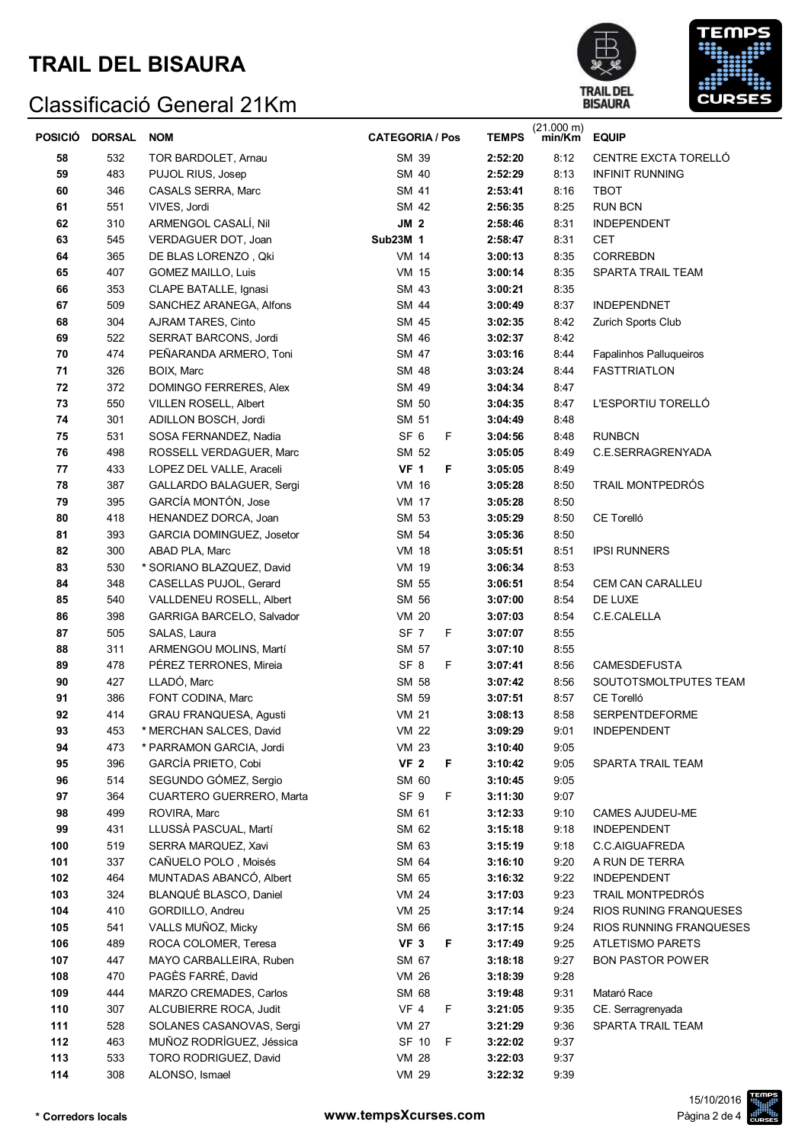



| POSICIÓ DORSAL |            | <b>NOM</b>                                        | <b>CATEGORIA / Pos</b>        | <b>TEMPS</b>       | $(21.000 \text{ m})$<br>min/Km | <b>EQUIP</b>                                       |
|----------------|------------|---------------------------------------------------|-------------------------------|--------------------|--------------------------------|----------------------------------------------------|
| 58             | 532        | TOR BARDOLET, Arnau                               | SM 39                         | 2:52:20            | 8:12                           | <b>CENTRE EXCTA TORELLO</b>                        |
| 59             | 483        | PUJOL RIUS, Josep                                 | SM 40                         | 2:52:29            | 8:13                           | <b>INFINIT RUNNING</b>                             |
| 60             | 346        | CASALS SERRA, Marc                                | SM 41                         | 2:53:41            | 8:16                           | TBOT                                               |
| 61             | 551        | VIVES, Jordi                                      | SM 42                         | 2:56:35            | 8:25                           | <b>RUN BCN</b>                                     |
| 62             | 310        | ARMENGOL CASALÍ, Nil                              | JM <sub>2</sub>               | 2:58:46            | 8:31                           | <b>INDEPENDENT</b>                                 |
| 63             | 545        | VERDAGUER DOT, Joan                               | Sub23M 1                      | 2:58:47            | 8:31                           | CET                                                |
| 64             | 365        | DE BLAS LORENZO, Qki                              | <b>VM 14</b>                  | 3:00:13            | 8:35                           | <b>CORREBDN</b>                                    |
| 65             | 407        | <b>GOMEZ MAILLO, Luis</b>                         | <b>VM 15</b>                  | 3:00:14            | 8:35                           | SPARTA TRAIL TEAM                                  |
| 66             | 353        | CLAPE BATALLE, Ignasi                             | SM 43                         | 3:00:21            | 8:35                           |                                                    |
| 67             | 509        | SANCHEZ ARANEGA, Alfons                           | SM 44                         | 3:00:49            | 8:37                           | <b>INDEPENDNET</b>                                 |
| 68             | 304        | AJRAM TARES, Cinto                                | SM 45                         | 3:02:35            | 8:42                           | Zurich Sports Club                                 |
| 69             | 522        | SERRAT BARCONS, Jordi                             | SM 46                         | 3:02:37            | 8:42                           |                                                    |
| 70             | 474        | PEÑARANDA ARMERO, Toni                            | SM 47                         | 3:03:16            | 8:44                           | Fapalinhos Palluqueiros                            |
| 71             | 326        | BOIX, Marc                                        | SM 48                         | 3:03:24            | 8:44                           | <b>FASTTRIATLON</b>                                |
| 72             | 372        | DOMINGO FERRERES, Alex                            | SM 49                         | 3:04:34            | 8:47                           |                                                    |
| 73             | 550        | <b>VILLEN ROSELL, Albert</b>                      | SM 50                         | 3:04:35            | 8:47                           | L'ESPORTIU TORELLÓ                                 |
| 74             | 301        | ADILLON BOSCH, Jordi                              | SM 51                         | 3:04:49            | 8:48                           |                                                    |
| 75             | 531        | SOSA FERNANDEZ, Nadia                             | SF <sub>6</sub><br>F.         | 3:04:56            | 8:48                           | <b>RUNBCN</b>                                      |
| 76             | 498        | ROSSELL VERDAGUER, Marc                           | SM 52                         | 3:05:05            | 8:49                           | C.E.SERRAGRENYADA                                  |
| 77             | 433        | LOPEZ DEL VALLE, Araceli                          | <b>VF 1</b><br>F              | 3:05:05            | 8:49                           |                                                    |
| 78             | 387        | GALLARDO BALAGUER, Sergi                          | <b>VM 16</b>                  | 3:05:28            | 8:50                           | TRAIL MONTPEDRÓS                                   |
| 79             | 395        | GARCÍA MONTÓN, Jose                               | VM 17                         | 3:05:28            | 8:50                           |                                                    |
| 80             | 418        | HENANDEZ DORCA, Joan                              | SM 53                         | 3:05:29            | 8:50                           | CE Torelló                                         |
| 81             | 393        | GARCIA DOMINGUEZ, Josetor                         | SM 54                         | 3:05:36            | 8:50                           |                                                    |
| 82             | 300        | ABAD PLA, Marc                                    | VM 18                         | 3:05:51            | 8:51                           | <b>IPSI RUNNERS</b>                                |
| 83             | 530        | * SORIANO BLAZQUEZ, David                         | VM 19                         | 3:06:34            | 8:53                           |                                                    |
| 84             | 348        | CASELLAS PUJOL, Gerard                            | SM 55                         | 3:06:51            | 8:54                           | CEM CAN CARALLEU                                   |
| 85             | 540        | VALLDENEU ROSELL, Albert                          | SM 56                         | 3:07:00            | 8:54                           | DE LUXE                                            |
| 86             | 398        | GARRIGA BARCELO, Salvador                         | <b>VM 20</b>                  | 3:07:03            | 8:54                           | C.E.CALELLA                                        |
| 87             | 505        | SALAS, Laura                                      | SF <sub>7</sub><br>F.         | 3:07:07            | 8:55                           |                                                    |
| 88             | 311        | ARMENGOU MOLINS, Martí                            | SM 57                         | 3:07:10            | 8:55                           |                                                    |
| 89             | 478        | PÉREZ TERRONES, Mireia                            | SF <sub>8</sub><br>F          | 3:07:41            | 8:56                           | <b>CAMESDEFUSTA</b>                                |
| 90             | 427        | LLADÓ, Marc                                       | SM 58                         | 3:07:42            | 8:56                           | SOUTOTSMOLTPUTES TEAM                              |
| 91             | 386        | FONT CODINA, Marc                                 | SM 59                         | 3:07:51            | 8:57                           | CE Torelló                                         |
| 92             | 414        | GRAU FRANQUESA, Agusti                            | <b>VM 21</b>                  | 3:08:13            | 8:58                           | <b>SERPENTDEFORME</b>                              |
| 93             | 453        | * MERCHAN SALCES, David                           | VM 22                         | 3:09:29            | 9:01                           | <b>INDEPENDENT</b>                                 |
| 94             | 473        | * PARRAMON GARCIA, Jordi                          | <b>VM 23</b>                  | 3:10:40            | 9:05                           |                                                    |
| 95             | 396        | GARCÍA PRIETO, Cobi                               | VF <sub>2</sub><br>F          | 3:10:42            | 9:05                           | SPARTA TRAIL TEAM                                  |
| 96             | 514        | SEGUNDO GÓMEZ, Sergio                             | SM 60                         | 3:10:45            | 9:05                           |                                                    |
| 97             | 364        | CUARTERO GUERRERO, Marta                          | SF <sub>9</sub><br>F          | 3:11:30            | 9:07                           |                                                    |
| 98             | 499        | ROVIRA, Marc                                      | SM 61                         | 3:12:33            | 9:10                           | CAMES AJUDEU-ME                                    |
| 99             | 431        | LLUSSÀ PASCUAL, Martí                             | SM 62                         | 3:15:18            | 9:18                           | <b>INDEPENDENT</b>                                 |
| 100            | 519        | SERRA MARQUEZ, Xavi                               | SM 63                         | 3:15:19            | 9:18                           | C.C.AIGUAFREDA                                     |
| 101            | 337        | CAÑUELO POLO, Moisés                              | SM 64                         | 3:16:10            | 9:20                           | A RUN DE TERRA                                     |
| 102            | 464        | MUNTADAS ABANCÓ, Albert<br>BLANQUÉ BLASCO, Daniel | SM 65                         | 3:16:32            | 9:22                           | <b>INDEPENDENT</b>                                 |
| 103<br>104     | 324<br>410 | GORDILLO, Andreu                                  | VM 24<br><b>VM 25</b>         | 3:17:03<br>3:17:14 | 9:23<br>9:24                   | TRAIL MONTPEDRÓS<br>RIOS RUNING FRANQUESES         |
|                |            |                                                   |                               |                    |                                |                                                    |
| 105<br>106     | 541<br>489 | VALLS MUÑOZ, Micky<br>ROCA COLOMER, Teresa        | SM 66<br>VF <sub>3</sub><br>F | 3:17:15<br>3:17:49 | 9:24<br>9:25                   | RIOS RUNNING FRANQUESES<br><b>ATLETISMO PARETS</b> |
|                |            |                                                   |                               |                    |                                |                                                    |
| 107<br>108     | 447<br>470 | MAYO CARBALLEIRA, Ruben<br>PAGÈS FARRÉ, David     | SM 67<br><b>VM 26</b>         | 3:18:18            | 9:27<br>9:28                   | <b>BON PASTOR POWER</b>                            |
| 109            | 444        | MARZO CREMADES, Carlos                            | SM 68                         | 3:18:39<br>3:19:48 | 9:31                           | Mataró Race                                        |
| 110            | 307        | ALCUBIERRE ROCA, Judit                            | <b>VF 4</b><br>F              | 3:21:05            | 9:35                           |                                                    |
| 111            | 528        | SOLANES CASANOVAS, Sergi                          | <b>VM 27</b>                  | 3:21:29            | 9:36                           | CE. Serragrenyada<br>SPARTA TRAIL TEAM             |
| 112            | 463        | MUÑOZ RODRÍGUEZ, Jéssica                          | SF 10<br>- F                  | 3:22:02            | 9:37                           |                                                    |
| 113            | 533        | TORO RODRIGUEZ, David                             | <b>VM 28</b>                  | 3:22:03            | 9:37                           |                                                    |
| 114            | 308        | ALONSO, Ismael                                    | VM 29                         | 3:22:32            | 9:39                           |                                                    |
|                |            |                                                   |                               |                    |                                |                                                    |

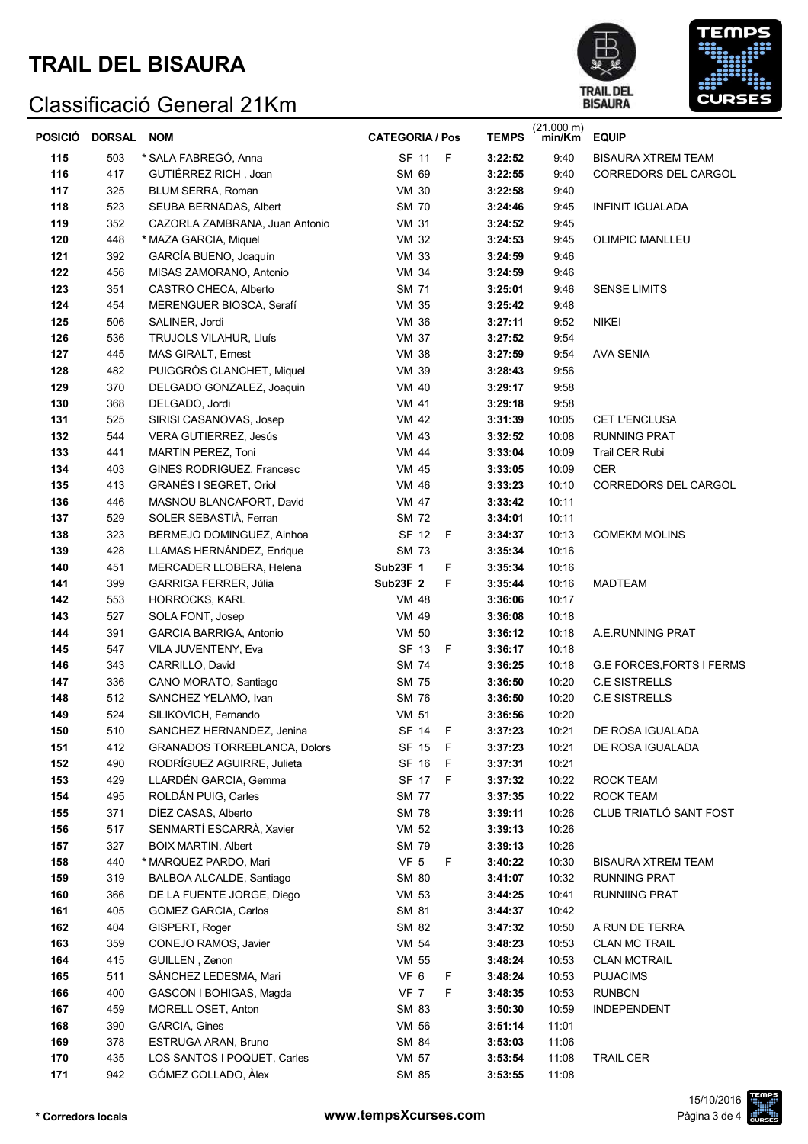# **TRAIL DEL BISAURA**





| <b>POSICIÓ</b> | DORSAL NOM |                                     | <b>CATEGORIA / Pos</b> |              | <b>TEMPS</b> | $(21.000 \text{ m})$<br>min/Km | <b>EQUIP</b>                     |
|----------------|------------|-------------------------------------|------------------------|--------------|--------------|--------------------------------|----------------------------------|
| 115            | 503        | * SALA FABREGÓ, Anna                | SF 11 F                |              | 3:22:52      | 9:40                           | BISAURA XTREM TEAM               |
| 116            | 417        | GUTIÉRREZ RICH, Joan                | SM 69                  |              | 3:22:55      | 9:40                           | CORREDORS DEL CARGOL             |
| 117            | 325        | BLUM SERRA, Roman                   | <b>VM 30</b>           |              | 3:22:58      | 9:40                           |                                  |
| 118            | 523        | SEUBA BERNADAS, Albert              | SM 70                  |              | 3:24:46      | 9:45                           | <b>INFINIT IGUALADA</b>          |
| 119            | 352        | CAZORLA ZAMBRANA, Juan Antonio      | <b>VM 31</b>           |              | 3:24:52      | 9:45                           |                                  |
| 120            | 448        | * MAZA GARCIA, Miquel               | <b>VM 32</b>           |              | 3:24:53      | 9:45                           | <b>OLIMPIC MANLLEU</b>           |
| 121            | 392        | GARCÍA BUENO, Joaquín               | <b>VM 33</b>           |              | 3:24:59      | 9:46                           |                                  |
| 122            | 456        | MISAS ZAMORANO, Antonio             | VM 34                  |              | 3:24:59      | 9:46                           |                                  |
| 123            | 351        | CASTRO CHECA, Alberto               | SM 71                  |              | 3:25:01      | 9:46                           | <b>SENSE LIMITS</b>              |
| 124            | 454        | MERENGUER BIOSCA, Serafí            | VM 35                  |              | 3:25:42      | 9:48                           |                                  |
| 125            | 506        | SALINER, Jordi                      | VM 36                  |              | 3:27:11      | 9:52                           | <b>NIKEI</b>                     |
| 126            | 536        | TRUJOLS VILAHUR, Lluís              | <b>VM 37</b>           |              | 3:27:52      | 9:54                           |                                  |
| 127            | 445        | MAS GIRALT, Ernest                  | <b>VM 38</b>           |              | 3:27:59      | 9:54                           | AVA SENIA                        |
| 128            | 482        | PUIGGRÒS CLANCHET, Miquel           | VM 39                  |              | 3:28:43      | 9:56                           |                                  |
| 129            | 370        | DELGADO GONZALEZ, Joaquin           | VM 40                  |              | 3:29:17      | 9:58                           |                                  |
| 130            | 368        | DELGADO, Jordi                      | VM 41                  |              | 3:29:18      | 9:58                           |                                  |
| 131            | 525        | SIRISI CASANOVAS, Josep             | VM 42                  |              | 3:31:39      | 10:05                          | CET L'ENCLUSA                    |
| 132            | 544        | VERA GUTIERREZ, Jesús               | VM 43                  |              | 3:32:52      | 10:08                          | <b>RUNNING PRAT</b>              |
| 133            | 441        | MARTIN PEREZ, Toni                  | VM 44                  |              | 3:33:04      | 10:09                          | Trail CER Rubi                   |
| 134            | 403        | GINES RODRIGUEZ, Francesc           | <b>VM 45</b>           |              | 3:33:05      | 10:09                          | CER                              |
| 135            | 413        | GRANÉS I SEGRET, Oriol              | VM 46                  |              | 3:33:23      | 10:10                          | CORREDORS DEL CARGOL             |
| 136            | 446        | MASNOU BLANCAFORT, David            | VM 47                  |              | 3:33:42      | 10:11                          |                                  |
| 137            | 529        | SOLER SEBASTIÀ, Ferran              | SM 72                  |              | 3:34:01      | 10:11                          |                                  |
| 138            | 323        | BERMEJO DOMINGUEZ, Ainhoa           | SF 12                  | $\mathsf{F}$ | 3:34:37      | 10:13                          | <b>COMEKM MOLINS</b>             |
| 139            | 428        | LLAMAS HERNÁNDEZ, Enrique           | SM 73                  |              | 3:35:34      | 10:16                          |                                  |
| 140            | 451        | MERCADER LLOBERA, Helena            | <b>Sub23F 1</b>        | F            | 3:35:34      | 10:16                          |                                  |
| 141            | 399        | <b>GARRIGA FERRER, Júlia</b>        | <b>Sub23F 2</b>        | F            | 3:35:44      | 10:16                          | <b>MADTEAM</b>                   |
| 142            | 553        | <b>HORROCKS, KARL</b>               | <b>VM 48</b>           |              | 3:36:06      | 10:17                          |                                  |
| 143            | 527        | SOLA FONT, Josep                    | VM 49                  |              | 3:36:08      | 10:18                          |                                  |
| 144            | 391        | GARCIA BARRIGA, Antonio             | VM 50                  |              | 3:36:12      | 10:18                          | A.E.RUNNING PRAT                 |
| 145            | 547        | VILA JUVENTENY, Eva                 | SF 13                  | F            | 3:36:17      | 10:18                          |                                  |
| 146            | 343        | CARRILLO, David                     | <b>SM 74</b>           |              | 3:36:25      | 10:18                          | <b>G.E FORCES, FORTS I FERMS</b> |
| 147            | 336        | CANO MORATO, Santiago               | <b>SM 75</b>           |              | 3:36:50      | 10:20                          | <b>C.E SISTRELLS</b>             |
| 148            | 512        | SANCHEZ YELAMO, Ivan                | SM 76                  |              | 3:36:50      | 10:20                          | <b>C.E SISTRELLS</b>             |
| 149            | 524        | SILIKOVICH, Fernando                | VM 51                  |              | 3:36:56      | 10:20                          |                                  |
| 150            | 510        | SANCHEZ HERNANDEZ, Jenina           | SF 14 F                |              | 3:37:23      | 10:21                          | DE ROSA IGUALADA                 |
| 151            | 412        | <b>GRANADOS TORREBLANCA, Dolors</b> | SF 15 F                |              | 3:37:23      | 10:21                          | DE ROSA IGUALADA                 |
| 152            | 490        | RODRÍGUEZ AGUIRRE, Julieta          | SF 16 F                |              | 3:37:31      | 10:21                          |                                  |
| 153            | 429        | LLARDÉN GARCIA, Gemma               | SF 17 F                |              | 3:37:32      | 10:22                          | ROCK TEAM                        |
| 154            | 495        | ROLDÁN PUIG, Carles                 | <b>SM 77</b>           |              | 3:37:35      | 10:22                          | <b>ROCK TEAM</b>                 |
| 155            | 371        | DÍEZ CASAS, Alberto                 | <b>SM 78</b>           |              | 3:39:11      | 10:26                          | CLUB TRIATLÓ SANT FOST           |
| 156            | 517        | SENMARTÍ ESCARRÀ, Xavier            | VM 52                  |              | 3:39:13      | 10:26                          |                                  |
| 157            | 327        | <b>BOIX MARTIN, Albert</b>          | SM 79                  |              | 3:39:13      | 10:26                          |                                  |
| 158            | 440        | * MARQUEZ PARDO, Mari               | VF <sub>5</sub>        | F.           | 3:40:22      | 10:30                          | <b>BISAURA XTREM TEAM</b>        |
| 159            | 319        | BALBOA ALCALDE, Santiago            | SM 80                  |              | 3:41:07      | 10:32                          | RUNNING PRAT                     |
| 160            | 366        | DE LA FUENTE JORGE, Diego           | VM 53                  |              | 3:44:25      | 10:41                          | RUNNIING PRAT                    |
| 161            | 405        | GOMEZ GARCIA, Carlos                | SM 81                  |              | 3:44:37      | 10:42                          |                                  |
| 162            | 404        | GISPERT, Roger                      | SM 82                  |              | 3:47:32      | 10:50                          | A RUN DE TERRA                   |
| 163            | 359        | CONEJO RAMOS, Javier                | VM 54                  |              | 3:48:23      | 10:53                          | <b>CLAN MC TRAIL</b>             |
| 164            | 415        | GUILLEN, Zenon                      | VM 55                  |              | 3:48:24      | 10:53                          | <b>CLAN MCTRAIL</b>              |
| 165            | 511        | SÁNCHEZ LEDESMA, Mari               | VF 6                   | F.           | 3:48:24      | 10:53                          | <b>PUJACIMS</b>                  |
| 166            | 400        | GASCON I BOHIGAS, Magda             | <b>VF 7</b>            | F            | 3:48:35      | 10:53                          | <b>RUNBCN</b>                    |
| 167            | 459        | MORELL OSET, Anton                  | SM 83                  |              | 3:50:30      | 10:59                          | <b>INDEPENDENT</b>               |
| 168            | 390        | <b>GARCIA, Gines</b>                | VM 56                  |              | 3:51:14      | 11:01                          |                                  |
| 169            | 378        | ESTRUGA ARAN, Bruno                 | SM 84                  |              | 3:53:03      | 11:06                          |                                  |
| 170            | 435        | LOS SANTOS I POQUET, Carles         | VM 57                  |              | 3:53:54      | 11:08                          | <b>TRAIL CER</b>                 |
| 171            | 942        | GÓMEZ COLLADO, Àlex                 | SM 85                  |              | 3:53:55      | 11:08                          |                                  |